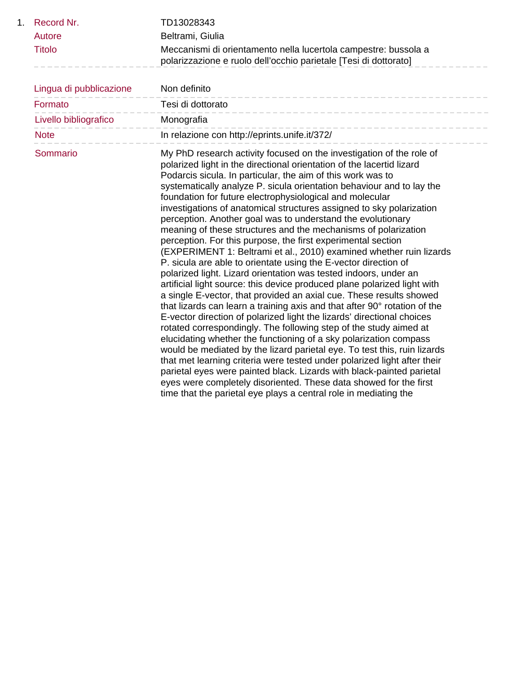| 1. | Record Nr.              | TD13028343                                                                                                                                                                                                                                                                                                                                                                                                                                                                                                                                                                                                                                                                                                                                                                                                                                                                                                                                                                                                                                                                                                                                                                                                                                                                                                                                                                                                                                                                                                                                                                                                                                                             |
|----|-------------------------|------------------------------------------------------------------------------------------------------------------------------------------------------------------------------------------------------------------------------------------------------------------------------------------------------------------------------------------------------------------------------------------------------------------------------------------------------------------------------------------------------------------------------------------------------------------------------------------------------------------------------------------------------------------------------------------------------------------------------------------------------------------------------------------------------------------------------------------------------------------------------------------------------------------------------------------------------------------------------------------------------------------------------------------------------------------------------------------------------------------------------------------------------------------------------------------------------------------------------------------------------------------------------------------------------------------------------------------------------------------------------------------------------------------------------------------------------------------------------------------------------------------------------------------------------------------------------------------------------------------------------------------------------------------------|
|    | Autore                  | Beltrami, Giulia                                                                                                                                                                                                                                                                                                                                                                                                                                                                                                                                                                                                                                                                                                                                                                                                                                                                                                                                                                                                                                                                                                                                                                                                                                                                                                                                                                                                                                                                                                                                                                                                                                                       |
|    | <b>Titolo</b>           | Meccanismi di orientamento nella lucertola campestre: bussola a<br>polarizzazione e ruolo dell'occhio parietale [Tesi di dottorato]                                                                                                                                                                                                                                                                                                                                                                                                                                                                                                                                                                                                                                                                                                                                                                                                                                                                                                                                                                                                                                                                                                                                                                                                                                                                                                                                                                                                                                                                                                                                    |
|    | Lingua di pubblicazione | Non definito                                                                                                                                                                                                                                                                                                                                                                                                                                                                                                                                                                                                                                                                                                                                                                                                                                                                                                                                                                                                                                                                                                                                                                                                                                                                                                                                                                                                                                                                                                                                                                                                                                                           |
|    | Formato                 | Tesi di dottorato                                                                                                                                                                                                                                                                                                                                                                                                                                                                                                                                                                                                                                                                                                                                                                                                                                                                                                                                                                                                                                                                                                                                                                                                                                                                                                                                                                                                                                                                                                                                                                                                                                                      |
|    | Livello bibliografico   | Monografia                                                                                                                                                                                                                                                                                                                                                                                                                                                                                                                                                                                                                                                                                                                                                                                                                                                                                                                                                                                                                                                                                                                                                                                                                                                                                                                                                                                                                                                                                                                                                                                                                                                             |
|    | <b>Note</b>             | In relazione con http://eprints.unife.it/372/                                                                                                                                                                                                                                                                                                                                                                                                                                                                                                                                                                                                                                                                                                                                                                                                                                                                                                                                                                                                                                                                                                                                                                                                                                                                                                                                                                                                                                                                                                                                                                                                                          |
|    | Sommario                | My PhD research activity focused on the investigation of the role of<br>polarized light in the directional orientation of the lacertid lizard<br>Podarcis sicula. In particular, the aim of this work was to<br>systematically analyze P. sicula orientation behaviour and to lay the<br>foundation for future electrophysiological and molecular<br>investigations of anatomical structures assigned to sky polarization<br>perception. Another goal was to understand the evolutionary<br>meaning of these structures and the mechanisms of polarization<br>perception. For this purpose, the first experimental section<br>(EXPERIMENT 1: Beltrami et al., 2010) examined whether ruin lizards<br>P. sicula are able to orientate using the E-vector direction of<br>polarized light. Lizard orientation was tested indoors, under an<br>artificial light source: this device produced plane polarized light with<br>a single E-vector, that provided an axial cue. These results showed<br>that lizards can learn a training axis and that after 90° rotation of the<br>E-vector direction of polarized light the lizards' directional choices<br>rotated correspondingly. The following step of the study aimed at<br>elucidating whether the functioning of a sky polarization compass<br>would be mediated by the lizard parietal eye. To test this, ruin lizards<br>that met learning criteria were tested under polarized light after their<br>parietal eyes were painted black. Lizards with black-painted parietal<br>eyes were completely disoriented. These data showed for the first<br>time that the parietal eye plays a central role in mediating the |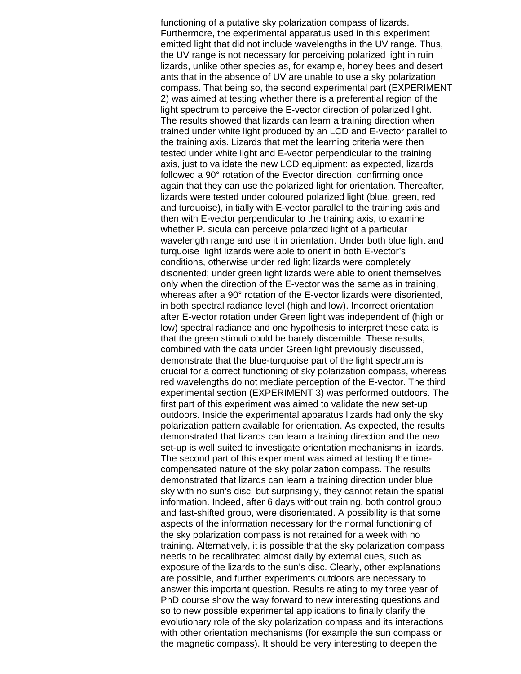functioning of a putative sky polarization compass of lizards. Furthermore, the experimental apparatus used in this experiment emitted light that did not include wavelengths in the UV range. Thus, the UV range is not necessary for perceiving polarized light in ruin lizards, unlike other species as, for example, honey bees and desert ants that in the absence of UV are unable to use a sky polarization compass. That being so, the second experimental part (EXPERIMENT 2) was aimed at testing whether there is a preferential region of the light spectrum to perceive the E-vector direction of polarized light. The results showed that lizards can learn a training direction when trained under white light produced by an LCD and E-vector parallel to the training axis. Lizards that met the learning criteria were then tested under white light and E-vector perpendicular to the training axis, just to validate the new LCD equipment: as expected, lizards followed a 90° rotation of the Evector direction, confirming once again that they can use the polarized light for orientation. Thereafter, lizards were tested under coloured polarized light (blue, green, red and turquoise), initially with E-vector parallel to the training axis and then with E-vector perpendicular to the training axis, to examine whether P. sicula can perceive polarized light of a particular wavelength range and use it in orientation. Under both blue light and turquoise light lizards were able to orient in both E-vector's conditions, otherwise under red light lizards were completely disoriented; under green light lizards were able to orient themselves only when the direction of the E-vector was the same as in training, whereas after a 90° rotation of the E-vector lizards were disoriented, in both spectral radiance level (high and low). Incorrect orientation after E-vector rotation under Green light was independent of (high or low) spectral radiance and one hypothesis to interpret these data is that the green stimuli could be barely discernible. These results, combined with the data under Green light previously discussed, demonstrate that the blue-turquoise part of the light spectrum is crucial for a correct functioning of sky polarization compass, whereas red wavelengths do not mediate perception of the E-vector. The third experimental section (EXPERIMENT 3) was performed outdoors. The first part of this experiment was aimed to validate the new set-up outdoors. Inside the experimental apparatus lizards had only the sky polarization pattern available for orientation. As expected, the results demonstrated that lizards can learn a training direction and the new set-up is well suited to investigate orientation mechanisms in lizards. The second part of this experiment was aimed at testing the timecompensated nature of the sky polarization compass. The results demonstrated that lizards can learn a training direction under blue sky with no sun's disc, but surprisingly, they cannot retain the spatial information. Indeed, after 6 days without training, both control group and fast-shifted group, were disorientated. A possibility is that some aspects of the information necessary for the normal functioning of the sky polarization compass is not retained for a week with no training. Alternatively, it is possible that the sky polarization compass needs to be recalibrated almost daily by external cues, such as exposure of the lizards to the sun's disc. Clearly, other explanations are possible, and further experiments outdoors are necessary to answer this important question. Results relating to my three year of PhD course show the way forward to new interesting questions and so to new possible experimental applications to finally clarify the evolutionary role of the sky polarization compass and its interactions with other orientation mechanisms (for example the sun compass or the magnetic compass). It should be very interesting to deepen the